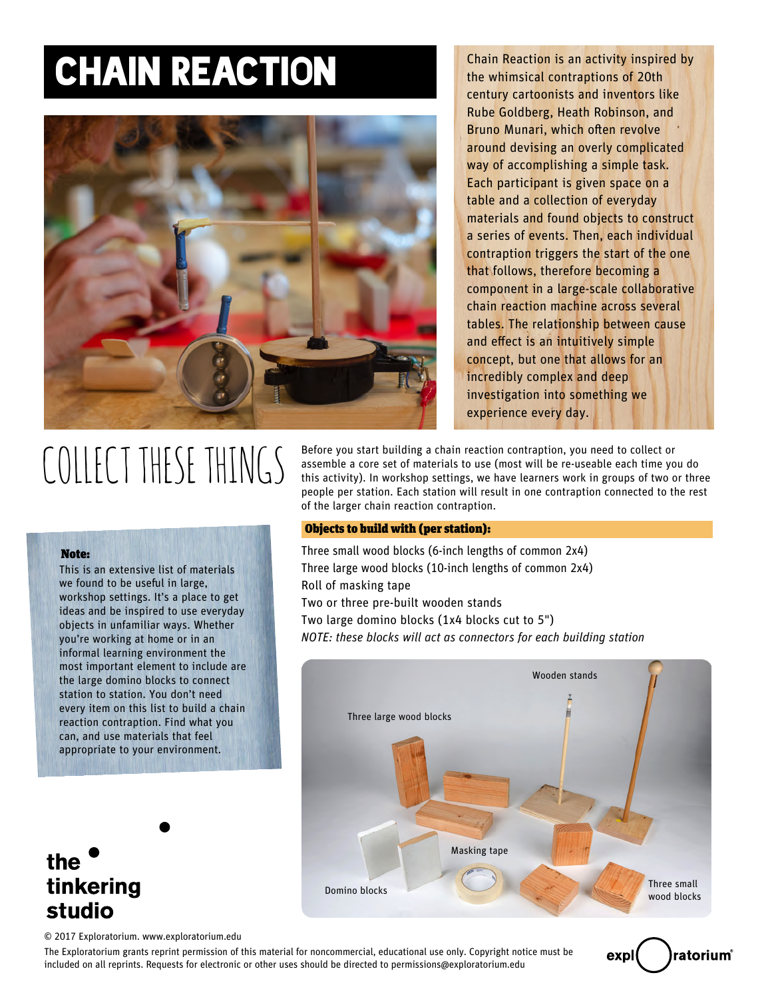### CHAIN REACTION



Chain Reaction is an activity inspired by the whimsical contraptions of 20th century cartoonists and inventors like Rube Goldberg, Heath Robinson, and Bruno Munari, which often revolve around devising an overly complicated way of accomplishing a simple task. Each participant is given space on a table and a collection of everyday materials and found objects to construct a series of events. Then, each individual contraption triggers the start of the one that follows, therefore becoming a component in a large-scale collaborative chain reaction machine across several tables. The relationship between cause and effect is an intuitively simple concept, but one that allows for an incredibly complex and deep investigation into something we experience every day.

# COLLECT THESE THINGS

This is an extensive list of materials we found to be useful in large, workshop settings. It's a place to get ideas and be inspired to use everyday objects in unfamiliar ways. Whether you're working at home or in an informal learning environment the most important element to include are the large domino blocks to connect station to station. You don't need every item on this list to build a chain reaction contraption. Find what you can, and use materials that feel appropriate to your environment.

Note:

Before you start building a chain reaction contraption, you need to collect or assemble a core set of materials to use (most will be re-useable each time you do this activity). In workshop settings, we have learners work in groups of two or three people per station. Each station will result in one contraption connected to the rest of the larger chain reaction contraption.

#### Objects to build with (per station):

Three small wood blocks (6-inch lengths of common 2x4) Three large wood blocks (10-inch lengths of common 2x4) Roll of masking tape Two or three pre-built wooden stands Two large domino blocks (1x4 blocks cut to 5") *NOTE: these blocks will act as connectors for each building station*



### the tinkering studio

© 2017 Exploratorium. www.exploratorium.edu

The Exploratorium grants reprint permission of this material for noncommercial, educational use only. Copyright notice must be included on all reprints. Requests for electronic or other uses should be directed to permissions@exploratorium.edu

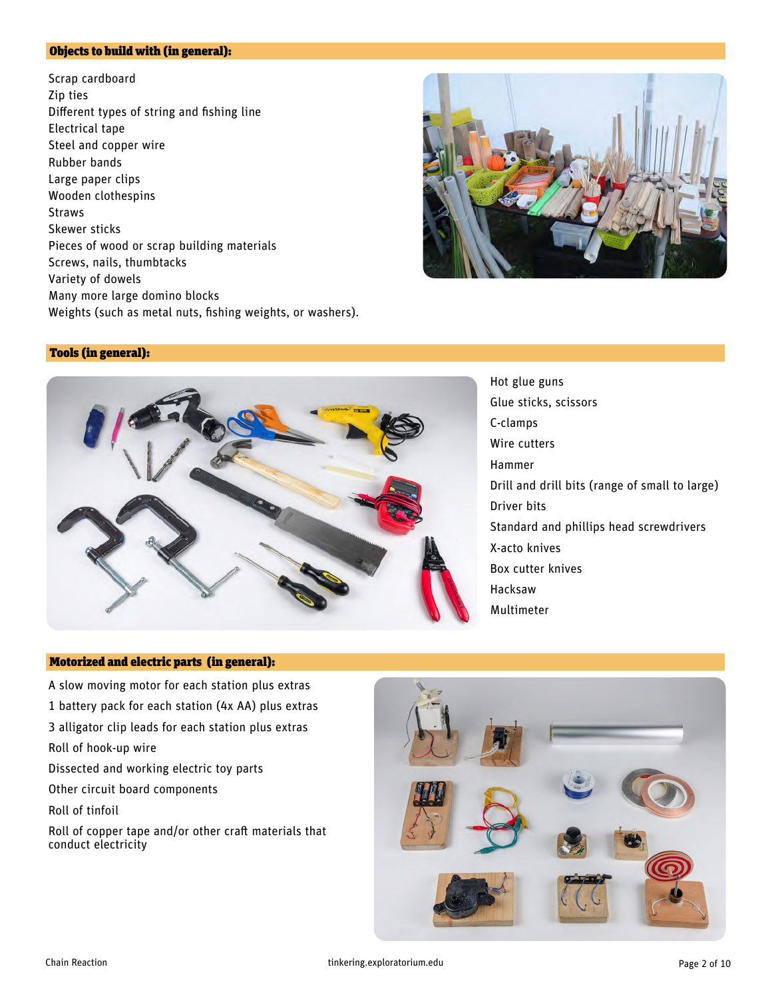#### Objects to build with (in general):

Scrap cardboard Zip ties Different types of string and fishing line Electrical tape Steel and copper wire Rubber bands Large paper clips Wooden clothespins Straws Skewer sticks Pieces of wood or scrap building materials Screws, nails, thumbtacks Variety of dowels Many more large domino blocks Weights (such as metal nuts, fishing weights, or washers).



#### Tools (in general):



Hot glue guns Glue sticks, scissors C-clamps Wire cutters Hammer Drill and drill bits (range of small to large) Driver bits Standard and phillips head screwdrivers X-acto knives Box cutter knives Hacksaw Multimeter

#### Motorized and electric parts (in general):

A slow moving motor for each station plus extras 1 battery pack for each station (4x AA) plus extras 3 alligator clip leads for each station plus extras Roll of hook-up wire Dissected and working electric toy parts Other circuit board components Roll of tinfoil Roll of copper tape and/or other craft materials that conduct electricity



Chain Reaction tinkering.exploratorium.edu Page 2 of 10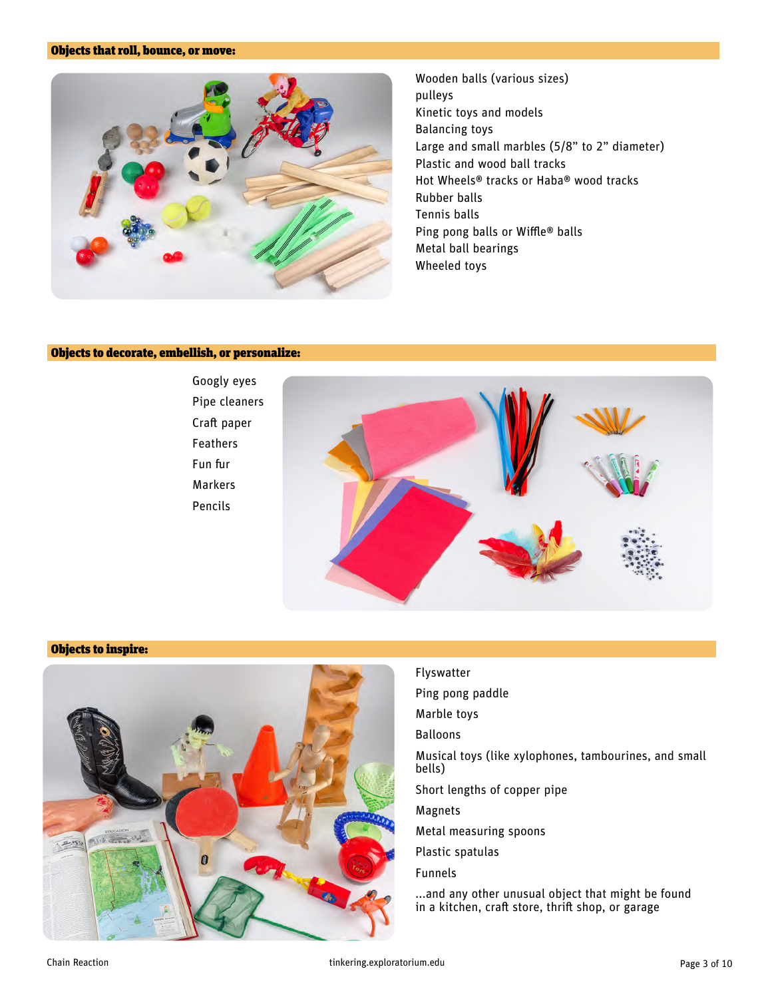#### Objects that roll, bounce, or move:



Wooden balls (various sizes) pulleys Kinetic toys and models Balancing toys Large and small marbles (5/8" to 2" diameter) Plastic and wood ball tracks Hot Wheels® tracks or Haba® wood tracks Rubber balls Tennis balls Ping pong balls or Wiffle® balls Metal ball bearings Wheeled toys

#### Objects to decorate, embellish, or personalize:



#### Objects to inspire:



#### Flyswatter

- Ping pong paddle
- Marble toys
- Balloons
- Musical toys (like xylophones, tambourines, and small bells)
- Short lengths of copper pipe
- Magnets
- Metal measuring spoons
- Plastic spatulas
- Funnels

...and any other unusual object that might be found in a kitchen, craft store, thrift shop, or garage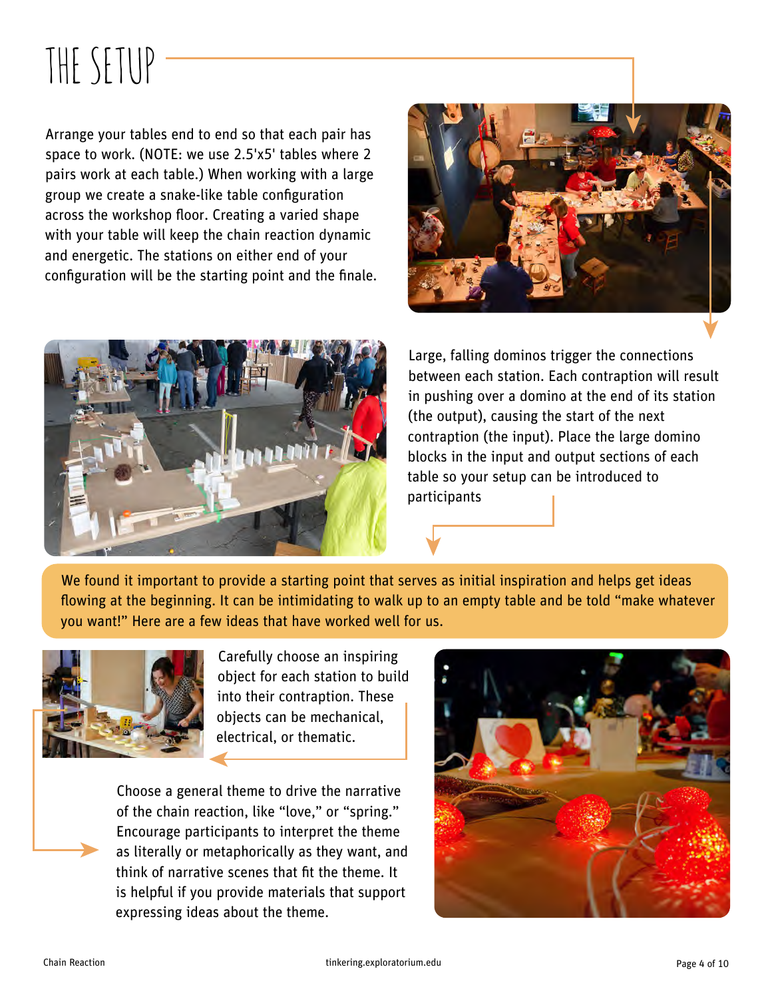# THE SETUP

Arrange your tables end to end so that each pair has space to work. (NOTE: we use 2.5'x5' tables where 2 pairs work at each table.) When working with a large group we create a snake-like table configuration across the workshop floor. Creating a varied shape with your table will keep the chain reaction dynamic and energetic. The stations on either end of your configuration will be the starting point and the finale.





Large, falling dominos trigger the connections between each station. Each contraption will result in pushing over a domino at the end of its station (the output), causing the start of the next contraption (the input). Place the large domino blocks in the input and output sections of each table so your setup can be introduced to participants

We found it important to provide a starting point that serves as initial inspiration and helps get ideas flowing at the beginning. It can be intimidating to walk up to an empty table and be told "make whatever you want!" Here are a few ideas that have worked well for us.



Carefully choose an inspiring object for each station to build into their contraption. These objects can be mechanical, electrical, or thematic.

Choose a general theme to drive the narrative of the chain reaction, like "love," or "spring." Encourage participants to interpret the theme as literally or metaphorically as they want, and think of narrative scenes that fit the theme. It is helpful if you provide materials that support expressing ideas about the theme.

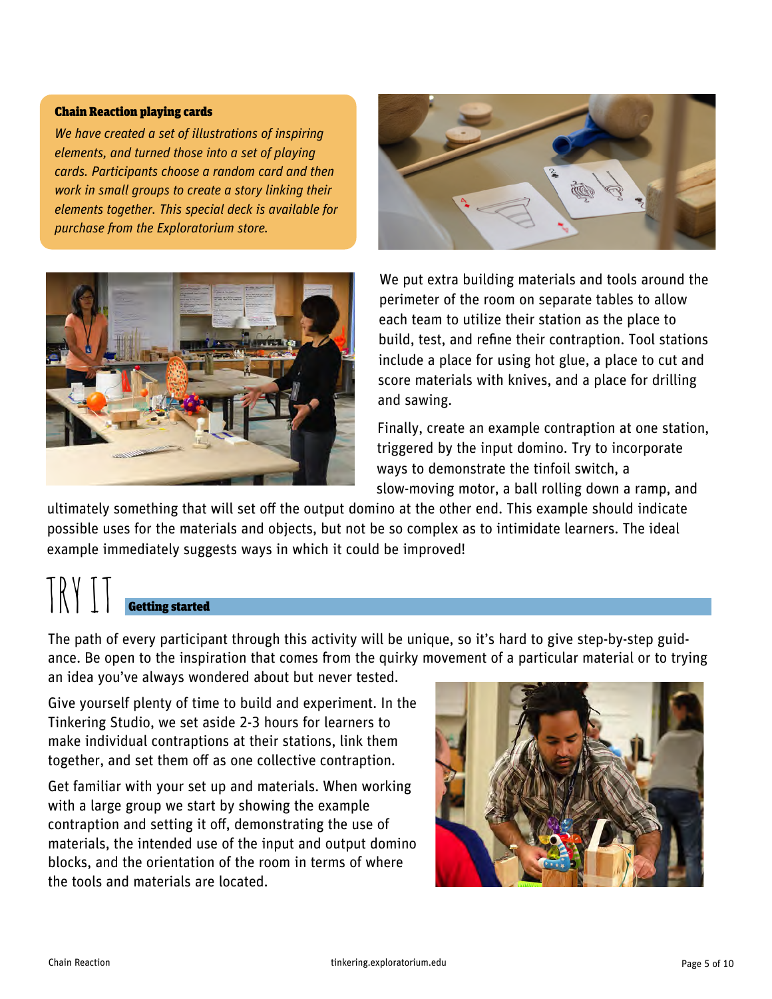#### Chain Reaction playing cards

*We have created a set of illustrations of inspiring elements, and turned those into a set of playing cards. Participants choose a random card and then work in small groups to create a story linking their elements together. This special deck is available for purchase from the Exploratorium store.* 





We put extra building materials and tools around the perimeter of the room on separate tables to allow each team to utilize their station as the place to build, test, and refine their contraption. Tool stations include a place for using hot glue, a place to cut and score materials with knives, and a place for drilling and sawing.

Finally, create an example contraption at one station, triggered by the input domino. Try to incorporate ways to demonstrate the tinfoil switch, a slow-moving motor, a ball rolling down a ramp, and

ultimately something that will set off the output domino at the other end. This example should indicate possible uses for the materials and objects, but not be so complex as to intimidate learners. The ideal example immediately suggests ways in which it could be improved!

### TRY IT Getting started

The path of every participant through this activity will be unique, so it's hard to give step-by-step guidance. Be open to the inspiration that comes from the quirky movement of a particular material or to trying an idea you've always wondered about but never tested.

Give yourself plenty of time to build and experiment. In the Tinkering Studio, we set aside 2-3 hours for learners to make individual contraptions at their stations, link them together, and set them off as one collective contraption.

Get familiar with your set up and materials. When working with a large group we start by showing the example contraption and setting it off, demonstrating the use of materials, the intended use of the input and output domino blocks, and the orientation of the room in terms of where the tools and materials are located.

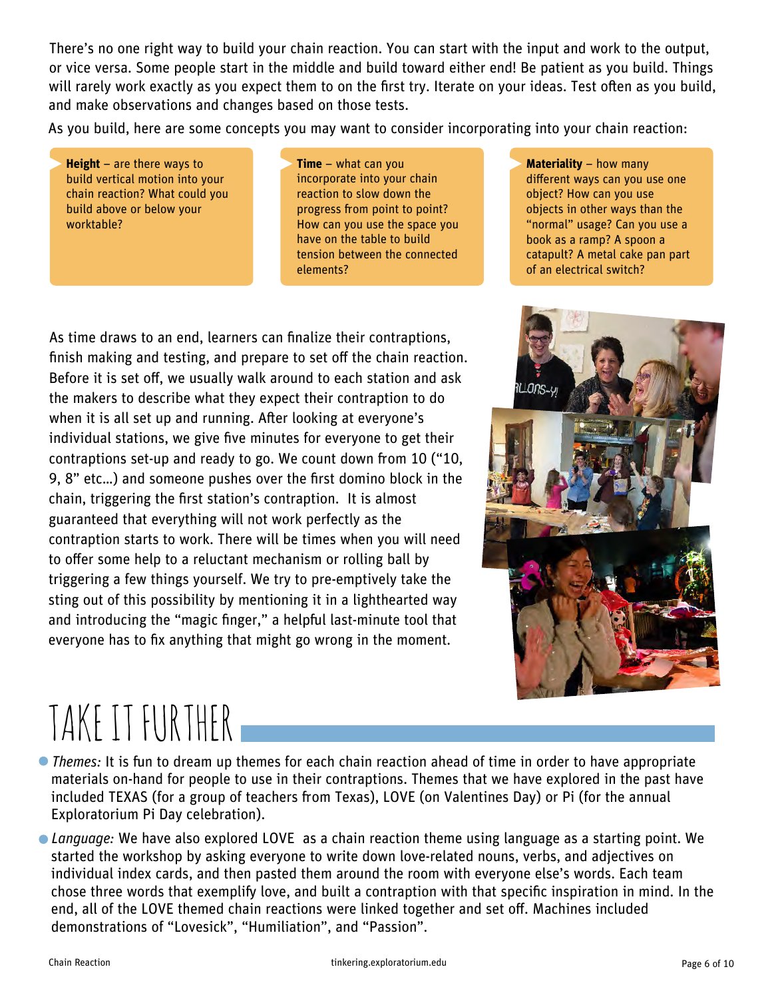There's no one right way to build your chain reaction. You can start with the input and work to the output, or vice versa. Some people start in the middle and build toward either end! Be patient as you build. Things will rarely work exactly as you expect them to on the first try. Iterate on your ideas. Test often as you build, and make observations and changes based on those tests.

As you build, here are some concepts you may want to consider incorporating into your chain reaction:

**Height** – are there ways to build vertical motion into your chain reaction? What could you build above or below your worktable?

**Time** – what can you incorporate into your chain reaction to slow down the progress from point to point? How can you use the space you have on the table to build tension between the connected elements?

As time draws to an end, learners can finalize their contraptions, finish making and testing, and prepare to set off the chain reaction. Before it is set off, we usually walk around to each station and ask the makers to describe what they expect their contraption to do when it is all set up and running. After looking at everyone's individual stations, we give five minutes for everyone to get their contraptions set-up and ready to go. We count down from  $10$  (" $10$ , 9, 8" etc...) and someone pushes over the first domino block in the chain, triggering the first station's contraption. It is almost guaranteed that everything will not work perfectly as the contraption starts to work. There will be times when you will need to offer some help to a reluctant mechanism or rolling ball by triggering a few things yourself. We try to pre-emptively take the sting out of this possibility by mentioning it in a lighthearted way and introducing the "magic finger," a helpful last-minute tool that everyone has to fix anything that might go wrong in the moment.

**Materiality** – how many different ways can you use one object? How can you use objects in other ways than the "normal" usage? Can you use a book as a ramp? A spoon a catapult? A metal cake pan part of an electrical switch?



# TAKE IT FURTHER

• *Themes*: It is fun to dream up themes for each chain reaction ahead of time in order to have appropriate materials on-hand for people to use in their contraptions. Themes that we have explored in the past have included TEXAS (for a group of teachers from Texas), LOVE (on Valentines Day) or Pi (for the annual Exploratorium Pi Day celebration).

• *Language:* We have also explored LOVE as a chain reaction theme using language as a starting point. We started the workshop by asking everyone to write down love-related nouns, verbs, and adjectives on individual index cards, and then pasted them around the room with everyone else's words. Each team chose three words that exemplify love, and built a contraption with that specific inspiration in mind. In the end, all of the LOVE themed chain reactions were linked together and set off. Machines included demonstrations of "Lovesick", "Humiliation", and "Passion".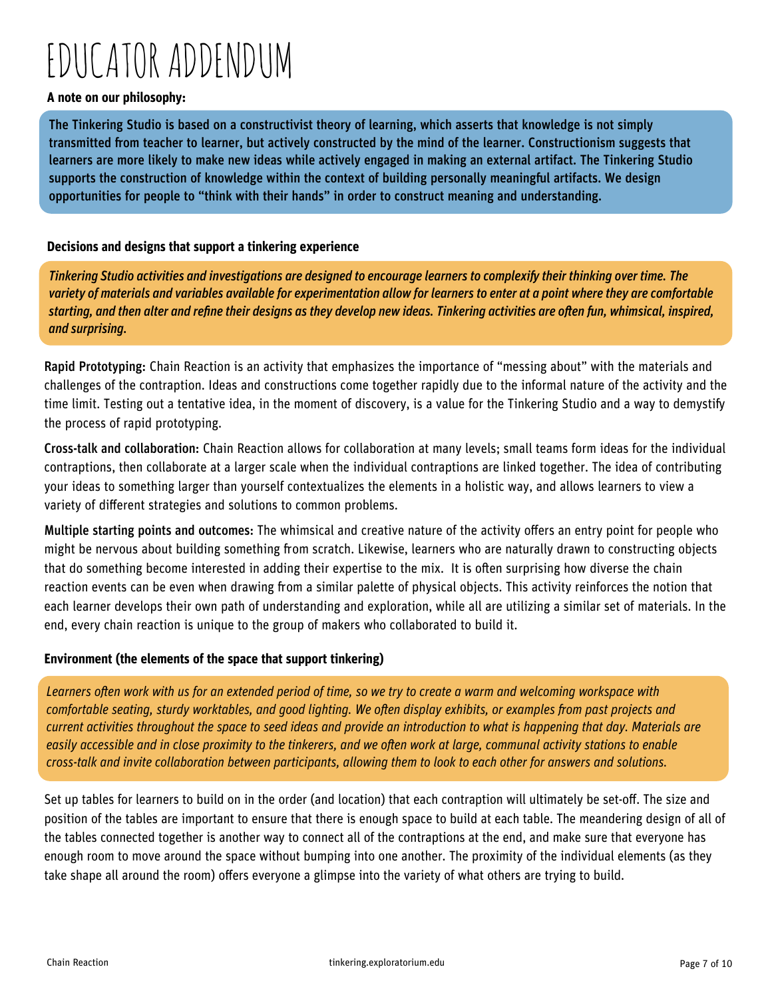## EDUCATOR ADDENDUM

#### **A note on our philosophy:**

The Tinkering Studio is based on a constructivist theory of learning, which asserts that knowledge is not simply transmitted from teacher to learner, but actively constructed by the mind of the learner. Constructionism suggests that learners are more likely to make new ideas while actively engaged in making an external artifact. The Tinkering Studio supports the construction of knowledge within the context of building personally meaningful artifacts. We design opportunities for people to "think with their hands" in order to construct meaning and understanding.

#### **Decisions and designs that support a tinkering experience**

**Tinkering Studio activities and investigations are designed to encourage learners to complexify their thinking over time. The** *variety of materials and variables available for experimentation allow for learners to enter at a point where they are comfortable*  starting, and then alter and refine their designs as they develop new ideas. Tinkering activities are often fun, whimsical, inspired, *and surprising.*

Rapid Prototyping: Chain Reaction is an activity that emphasizes the importance of "messing about" with the materials and challenges of the contraption. Ideas and constructions come together rapidly due to the informal nature of the activity and the time limit. Testing out a tentative idea, in the moment of discovery, is a value for the Tinkering Studio and a way to demystify the process of rapid prototyping.

Cross-talk and collaboration: Chain Reaction allows for collaboration at many levels; small teams form ideas for the individual contraptions, then collaborate at a larger scale when the individual contraptions are linked together. The idea of contributing your ideas to something larger than yourself contextualizes the elements in a holistic way, and allows learners to view a variety of different strategies and solutions to common problems.

Multiple starting points and outcomes: The whimsical and creative nature of the activity offers an entry point for people who might be nervous about building something from scratch. Likewise, learners who are naturally drawn to constructing objects that do something become interested in adding their expertise to the mix. It is often surprising how diverse the chain reaction events can be even when drawing from a similar palette of physical objects. This activity reinforces the notion that each learner develops their own path of understanding and exploration, while all are utilizing a similar set of materials. In the end, every chain reaction is unique to the group of makers who collaborated to build it.

#### **Environment (the elements of the space that support tinkering)**

Learners often work with us for an extended period of time, so we try to create a warm and welcoming workspace with *comfortable seating, sturdy worktables, and good lighting. We often display exhibits, or examples from past projects and current activities throughout the space to seed ideas and provide an introduction to what is happening that day. Materials are easily accessible and in close proximity to the tinkerers, and we often work at large, communal activity stations to enable cross-talk and invite collaboration between participants, allowing them to look to each other for answers and solutions.* 

Set up tables for learners to build on in the order (and location) that each contraption will ultimately be set-off. The size and position of the tables are important to ensure that there is enough space to build at each table. The meandering design of all of the tables connected together is another way to connect all of the contraptions at the end, and make sure that everyone has enough room to move around the space without bumping into one another. The proximity of the individual elements (as they take shape all around the room) offers everyone a glimpse into the variety of what others are trying to build.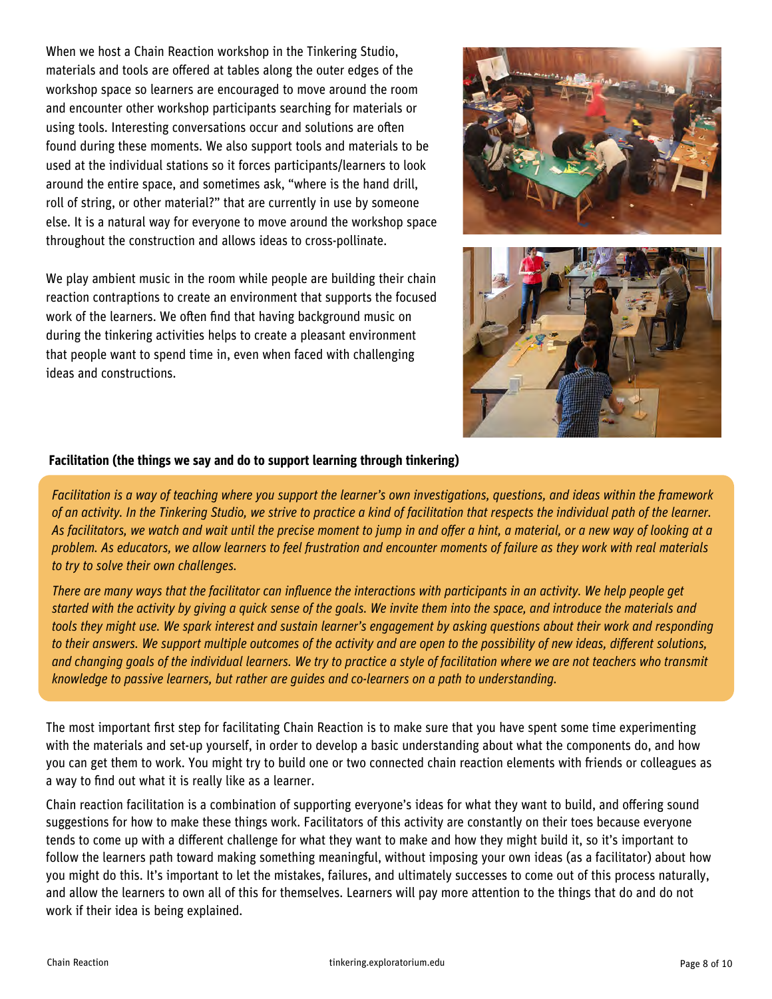When we host a Chain Reaction workshop in the Tinkering Studio, materials and tools are offered at tables along the outer edges of the workshop space so learners are encouraged to move around the room and encounter other workshop participants searching for materials or using tools. Interesting conversations occur and solutions are often found during these moments. We also support tools and materials to be used at the individual stations so it forces participants/learners to look around the entire space, and sometimes ask, "where is the hand drill, roll of string, or other material?" that are currently in use by someone else. It is a natural way for everyone to move around the workshop space throughout the construction and allows ideas to cross-pollinate.

We play ambient music in the room while people are building their chain reaction contraptions to create an environment that supports the focused work of the learners. We often find that having background music on during the tinkering activities helps to create a pleasant environment that people want to spend time in, even when faced with challenging ideas and constructions.





#### **Facilitation (the things we say and do to support learning through tinkering)**

*Facilitation is a way of teaching where you support the learner's own investigations, questions, and ideas within the framework of an activity. In the Tinkering Studio, we strive to practice a kind of facilitation that respects the individual path of the learner.*  As facilitators, we watch and wait until the precise moment to jump in and offer a hint, a material, or a new way of looking at a problem. As educators, we allow learners to feel frustration and encounter moments of failure as they work with real materials *to try to solve their own challenges.*

*There are many ways that the facilitator can influence the interactions with participants in an activity. We help people get started with the activity by giving a quick sense of the goals. We invite them into the space, and introduce the materials and tools they might use. We spark interest and sustain learner's engagement by asking questions about their work and responding*  to their answers. We support multiple outcomes of the activity and are open to the possibility of new ideas, different solutions, *and changing goals of the individual learners. We try to practice a style of facilitation where we are not teachers who transmit knowledge to passive learners, but rather are guides and co-learners on a path to understanding.* 

The most important first step for facilitating Chain Reaction is to make sure that you have spent some time experimenting with the materials and set-up yourself, in order to develop a basic understanding about what the components do, and how you can get them to work. You might try to build one or two connected chain reaction elements with friends or colleagues as a way to find out what it is really like as a learner.

Chain reaction facilitation is a combination of supporting everyone's ideas for what they want to build, and offering sound suggestions for how to make these things work. Facilitators of this activity are constantly on their toes because everyone tends to come up with a different challenge for what they want to make and how they might build it, so it's important to follow the learners path toward making something meaningful, without imposing your own ideas (as a facilitator) about how you might do this. It's important to let the mistakes, failures, and ultimately successes to come out of this process naturally, and allow the learners to own all of this for themselves. Learners will pay more attention to the things that do and do not work if their idea is being explained.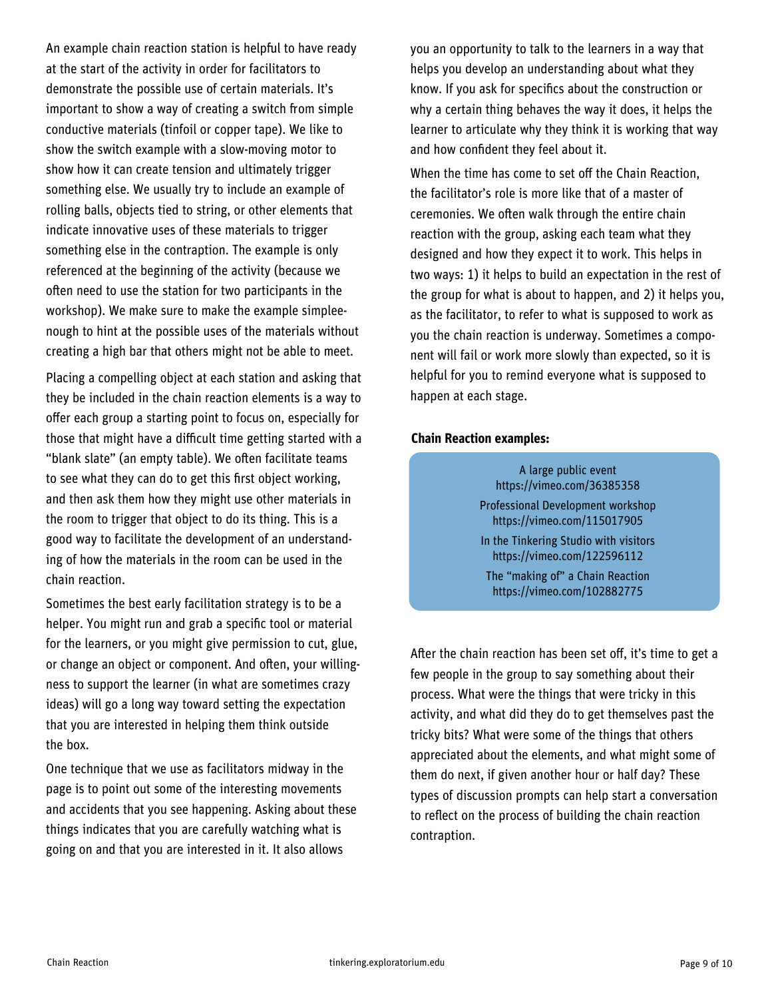An example chain reaction station is helpful to have ready at the start of the activity in order for facilitators to demonstrate the possible use of certain materials. It's important to show a way of creating a switch from simple conductive materials (tinfoil or copper tape). We like to show the switch example with a slow-moving motor to show how it can create tension and ultimately trigger something else. We usually try to include an example of rolling balls, objects tied to string, or other elements that indicate innovative uses of these materials to trigger something else in the contraption. The example is only referenced at the beginning of the activity (because we often need to use the station for two participants in the workshop). We make sure to make the example simpleenough to hint at the possible uses of the materials without creating a high bar that others might not be able to meet.

Placing a compelling object at each station and asking that they be included in the chain reaction elements is a way to offer each group a starting point to focus on, especially for those that might have a difficult time getting started with a "blank slate" (an empty table). We often facilitate teams to see what they can do to get this first object working, and then ask them how they might use other materials in the room to trigger that object to do its thing. This is a good way to facilitate the development of an understanding of how the materials in the room can be used in the chain reaction.

Sometimes the best early facilitation strategy is to be a helper. You might run and grab a specific tool or material for the learners, or you might give permission to cut, glue, or change an object or component. And often, your willingness to support the learner (in what are sometimes crazy ideas) will go a long way toward setting the expectation that you are interested in helping them think outside the box.

One technique that we use as facilitators midway in the page is to point out some of the interesting movements and accidents that you see happening. Asking about these things indicates that you are carefully watching what is going on and that you are interested in it. It also allows

you an opportunity to talk to the learners in a way that helps you develop an understanding about what they know. If you ask for specifics about the construction or why a certain thing behaves the way it does, it helps the learner to articulate why they think it is working that way and how confident they feel about it.

When the time has come to set off the Chain Reaction, the facilitator's role is more like that of a master of ceremonies. We often walk through the entire chain reaction with the group, asking each team what they designed and how they expect it to work. This helps in two ways: 1) it helps to build an expectation in the rest of the group for what is about to happen, and 2) it helps you, as the facilitator, to refer to what is supposed to work as you the chain reaction is underway. Sometimes a component will fail or work more slowly than expected, so it is helpful for you to remind everyone what is supposed to happen at each stage.

#### **Chain Reaction examples:**

A large public event https://vimeo.com/36385358 Professional Development workshop

https://vimeo.com/115017905

In the Tinkering Studio with visitors https://vimeo.com/122596112

The "making of" a Chain Reaction https://vimeo.com/102882775

After the chain reaction has been set off, it's time to get a few people in the group to say something about their process. What were the things that were tricky in this activity, and what did they do to get themselves past the tricky bits? What were some of the things that others appreciated about the elements, and what might some of them do next, if given another hour or half day? These types of discussion prompts can help start a conversation to reflect on the process of building the chain reaction contraption.